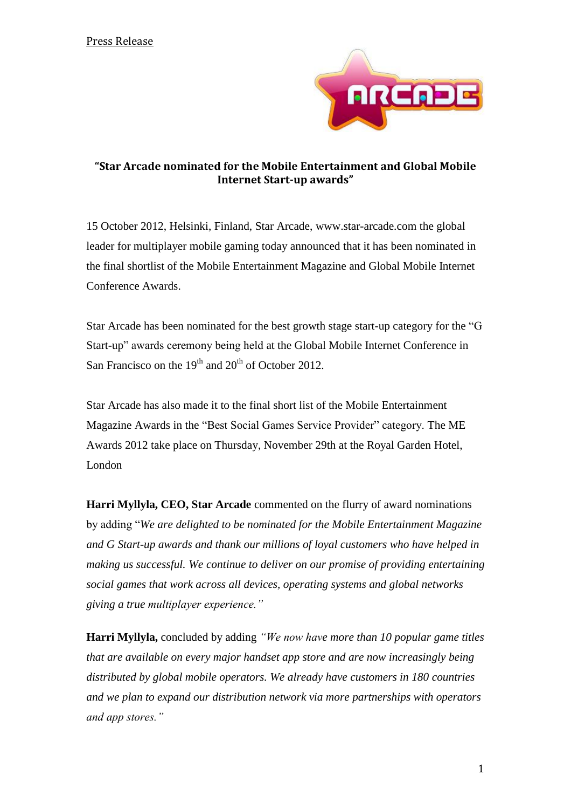

## **"Star Arcade nominated for the Mobile Entertainment and Global Mobile Internet Start-up awards"**

15 October 2012, Helsinki, Finland, [Star Arcade, www.star-arcade.com](http://www.star-arcade.com/) the global leader for multiplayer mobile gaming today announced that it has been nominated in the final shortlist of the Mobile Entertainment Magazine and Global Mobile Internet Conference Awards.

Star Arcade has been nominated for the best growth stage start-up category for the "G Start-up" awards ceremony being held at the Global Mobile Internet Conference in San Francisco on the  $19<sup>th</sup>$  and  $20<sup>th</sup>$  of October 2012.

Star Arcade has also made it to the final short list of the Mobile Entertainment Magazine Awards in the "Best Social Games Service Provider" category. The ME Awards 2012 take place on Thursday, November 29th at the Royal Garden Hotel, London

**Harri Myllyla, CEO, Star Arcade** commented on the flurry of award nominations by adding "*We are delighted to be nominated for the Mobile Entertainment Magazine and G Start-up awards and thank our millions of loyal customers who have helped in making us successful. We continue to deliver on our promise of providing entertaining social games that work across all devices, operating systems and global networks giving a true multiplayer experience."* 

**Harri Myllyla,** concluded by adding *"We now have more than 10 popular game titles that are available on every major handset app store and are now increasingly being distributed by global mobile operators. We already have customers in 180 countries and we plan to expand our distribution network via more partnerships with operators and app stores."*